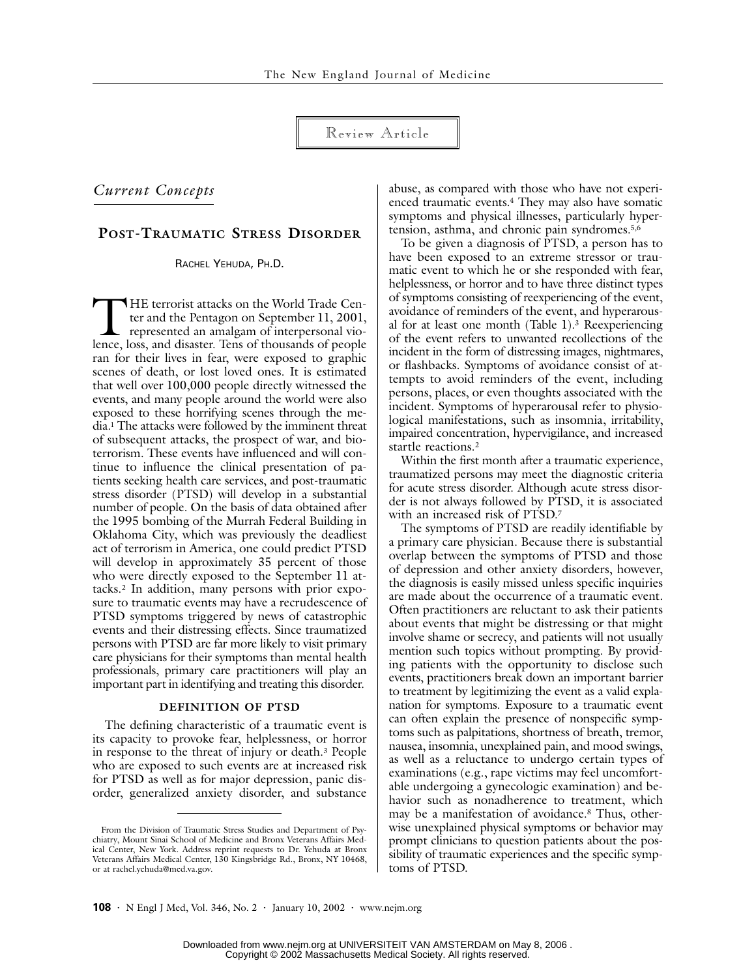Review Article

*Current Concepts*

# **POST-TRAUMATIC STRESS DISORDER**

RACHEL YEHUDA, PH.D.

HE terrorist attacks on the World Trade Center and the Pentagon on September 11, 2001, represented an amalgam of interpersonal vio-HE terrorist attacks on the World Trade Center and the Pentagon on September 11, 2001, represented an amalgam of interpersonal violence, loss, and disaster. Tens of thousands of people ran for their lives in fear, were exposed to graphic scenes of death, or lost loved ones. It is estimated that well over 100,000 people directly witnessed the events, and many people around the world were also exposed to these horrifying scenes through the media.1 The attacks were followed by the imminent threat of subsequent attacks, the prospect of war, and bioterrorism. These events have influenced and will continue to influence the clinical presentation of patients seeking health care services, and post-traumatic stress disorder (PTSD) will develop in a substantial number of people. On the basis of data obtained after the 1995 bombing of the Murrah Federal Building in Oklahoma City, which was previously the deadliest act of terrorism in America, one could predict PTSD will develop in approximately 35 percent of those who were directly exposed to the September 11 attacks.2 In addition, many persons with prior exposure to traumatic events may have a recrudescence of PTSD symptoms triggered by news of catastrophic events and their distressing effects. Since traumatized persons with PTSD are far more likely to visit primary care physicians for their symptoms than mental health professionals, primary care practitioners will play an important part in identifying and treating this disorder.

# **DEFINITION OF PTSD**

The defining characteristic of a traumatic event is its capacity to provoke fear, helplessness, or horror in response to the threat of injury or death.3 People who are exposed to such events are at increased risk for PTSD as well as for major depression, panic disorder, generalized anxiety disorder, and substance abuse, as compared with those who have not experienced traumatic events.4 They may also have somatic symptoms and physical illnesses, particularly hypertension, asthma, and chronic pain syndromes.5,6

To be given a diagnosis of PTSD, a person has to have been exposed to an extreme stressor or traumatic event to which he or she responded with fear, helplessness, or horror and to have three distinct types of symptoms consisting of reexperiencing of the event, avoidance of reminders of the event, and hyperarousal for at least one month (Table 1).3 Reexperiencing of the event refers to unwanted recollections of the incident in the form of distressing images, nightmares, or flashbacks. Symptoms of avoidance consist of attempts to avoid reminders of the event, including persons, places, or even thoughts associated with the incident. Symptoms of hyperarousal refer to physiological manifestations, such as insomnia, irritability, impaired concentration, hypervigilance, and increased startle reactions.2

Within the first month after a traumatic experience, traumatized persons may meet the diagnostic criteria for acute stress disorder. Although acute stress disorder is not always followed by PTSD, it is associated with an increased risk of PTSD.7

The symptoms of PTSD are readily identifiable by a primary care physician. Because there is substantial overlap between the symptoms of PTSD and those of depression and other anxiety disorders, however, the diagnosis is easily missed unless specific inquiries are made about the occurrence of a traumatic event. Often practitioners are reluctant to ask their patients about events that might be distressing or that might involve shame or secrecy, and patients will not usually mention such topics without prompting. By providing patients with the opportunity to disclose such events, practitioners break down an important barrier to treatment by legitimizing the event as a valid explanation for symptoms. Exposure to a traumatic event can often explain the presence of nonspecific symptoms such as palpitations, shortness of breath, tremor, nausea, insomnia, unexplained pain, and mood swings, as well as a reluctance to undergo certain types of examinations (e.g., rape victims may feel uncomfortable undergoing a gynecologic examination) and behavior such as nonadherence to treatment, which may be a manifestation of avoidance.8 Thus, otherwise unexplained physical symptoms or behavior may prompt clinicians to question patients about the possibility of traumatic experiences and the specific symptoms of PTSD.

**108 ·** N Engl J Med, Vol. 346, No. 2 **·** January 10, 2002 **·** www.nejm.org

From the Division of Traumatic Stress Studies and Department of Psychiatry, Mount Sinai School of Medicine and Bronx Veterans Affairs Medical Center, New York. Address reprint requests to Dr. Yehuda at Bronx Veterans Affairs Medical Center, 130 Kingsbridge Rd., Bronx, NY 10468, or at rachel.yehuda@med.va.gov.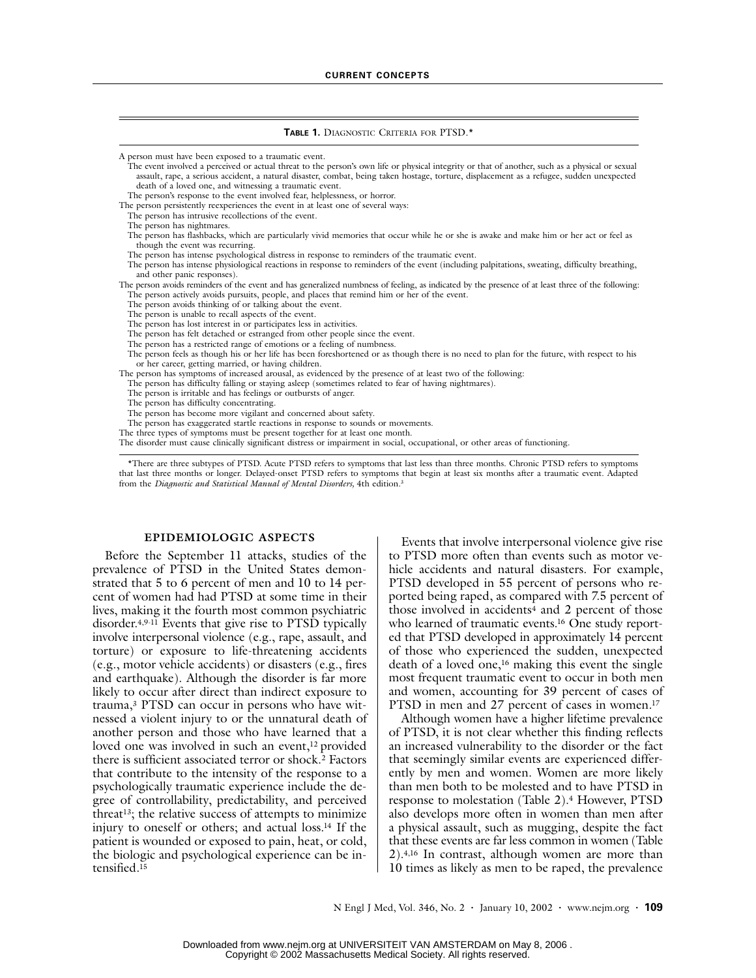#### **TABLE 1.** DIAGNOSTIC CRITERIA FOR PTSD.\*

A person must have been exposed to a traumatic event.

The event involved a perceived or actual threat to the person's own life or physical integrity or that of another, such as a physical or sexual assault, rape, a serious accident, a natural disaster, combat, being taken hostage, torture, displacement as a refugee, sudden unexpected death of a loved one, and witnessing a traumatic event.

The person's response to the event involved fear, helplessness, or horror.

The person persistently reexperiences the event in at least one of several ways:

The person has intrusive recollections of the event.

The person has nightmares.

The person has flashbacks, which are particularly vivid memories that occur while he or she is awake and make him or her act or feel as though the event was recurring.

The person has intense psychological distress in response to reminders of the traumatic event.

The person has intense physiological reactions in response to reminders of the event (including palpitations, sweating, difficulty breathing, and other panic responses).

The person avoids reminders of the event and has generalized numbness of feeling, as indicated by the presence of at least three of the following: The person actively avoids pursuits, people, and places that remind him or her of the event.

The person avoids thinking of or talking about the event.

The person is unable to recall aspects of the event.

The person has lost interest in or participates less in activities.

The person has felt detached or estranged from other people since the event.

The person has a restricted range of emotions or a feeling of numbness.

The person feels as though his or her life has been foreshortened or as though there is no need to plan for the future, with respect to his or her career, getting married, or having children.

The person has symptoms of increased arousal, as evidenced by the presence of at least two of the following:

The person has difficulty falling or staying asleep (sometimes related to fear of having nightmares).

The person is irritable and has feelings or outbursts of anger.

The person has difficulty concentrating.

The person has become more vigilant and concerned about safety.

The person has exaggerated startle reactions in response to sounds or movements.

The three types of symptoms must be present together for at least one month.

The disorder must cause clinically significant distress or impairment in social, occupational, or other areas of functioning.

\*There are three subtypes of PTSD. Acute PTSD refers to symptoms that last less than three months. Chronic PTSD refers to symptoms that last three months or longer. Delayed-onset PTSD refers to symptoms that begin at least six months after a traumatic event. Adapted from the *Diagnostic and Statistical Manual of Mental Disorders,* 4th edition.3

## **EPIDEMIOLOGIC ASPECTS**

Before the September 11 attacks, studies of the prevalence of PTSD in the United States demonstrated that 5 to 6 percent of men and 10 to 14 percent of women had had PTSD at some time in their lives, making it the fourth most common psychiatric disorder.4,9-11 Events that give rise to PTSD typically involve interpersonal violence (e.g., rape, assault, and torture) or exposure to life-threatening accidents (e.g., motor vehicle accidents) or disasters (e.g., fires and earthquake). Although the disorder is far more likely to occur after direct than indirect exposure to trauma,<sup>3</sup> PTSD can occur in persons who have witnessed a violent injury to or the unnatural death of another person and those who have learned that a loved one was involved in such an event,<sup>12</sup> provided there is sufficient associated terror or shock.<sup>2</sup> Factors that contribute to the intensity of the response to a psychologically traumatic experience include the degree of controllability, predictability, and perceived threat<sup>13</sup>; the relative success of attempts to minimize injury to oneself or others; and actual loss.14 If the patient is wounded or exposed to pain, heat, or cold, the biologic and psychological experience can be intensified.15

Events that involve interpersonal violence give rise to PTSD more often than events such as motor vehicle accidents and natural disasters. For example, PTSD developed in 55 percent of persons who reported being raped, as compared with 7.5 percent of those involved in accidents<sup>4</sup> and 2 percent of those who learned of traumatic events.<sup>16</sup> One study reported that PTSD developed in approximately 14 percent of those who experienced the sudden, unexpected death of a loved one,<sup>16</sup> making this event the single most frequent traumatic event to occur in both men and women, accounting for 39 percent of cases of PTSD in men and 27 percent of cases in women.<sup>17</sup>

Although women have a higher lifetime prevalence of PTSD, it is not clear whether this finding reflects an increased vulnerability to the disorder or the fact that seemingly similar events are experienced differently by men and women. Women are more likely than men both to be molested and to have PTSD in response to molestation (Table 2).4 However, PTSD also develops more often in women than men after a physical assault, such as mugging, despite the fact that these events are far less common in women (Table 2).4,16 In contrast, although women are more than 10 times as likely as men to be raped, the prevalence

N Engl J Med, Vol. 346, No. 2 **·** January 10, 2002 **·** www.nejm.org **· 109**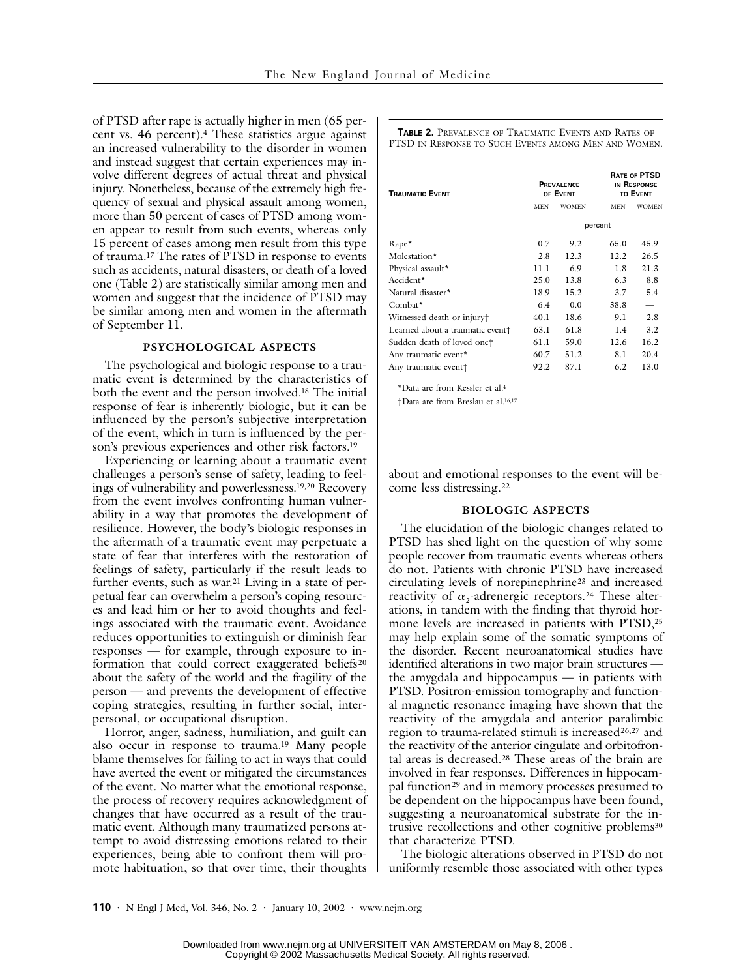of PTSD after rape is actually higher in men (65 percent vs. 46 percent).4 These statistics argue against an increased vulnerability to the disorder in women and instead suggest that certain experiences may involve different degrees of actual threat and physical injury. Nonetheless, because of the extremely high frequency of sexual and physical assault among women, more than 50 percent of cases of PTSD among women appear to result from such events, whereas only 15 percent of cases among men result from this type of trauma.17 The rates of PTSD in response to events such as accidents, natural disasters, or death of a loved one (Table 2) are statistically similar among men and women and suggest that the incidence of PTSD may be similar among men and women in the aftermath of September 11.

# **PSYCHOLOGICAL ASPECTS**

The psychological and biologic response to a traumatic event is determined by the characteristics of both the event and the person involved.18 The initial response of fear is inherently biologic, but it can be influenced by the person's subjective interpretation of the event, which in turn is influenced by the person's previous experiences and other risk factors.<sup>19</sup>

Experiencing or learning about a traumatic event challenges a person's sense of safety, leading to feelings of vulnerability and powerlessness.19,20 Recovery from the event involves confronting human vulnerability in a way that promotes the development of resilience. However, the body's biologic responses in the aftermath of a traumatic event may perpetuate a state of fear that interferes with the restoration of feelings of safety, particularly if the result leads to further events, such as war.<sup>21</sup> Living in a state of perpetual fear can overwhelm a person's coping resources and lead him or her to avoid thoughts and feelings associated with the traumatic event. Avoidance reduces opportunities to extinguish or diminish fear responses — for example, through exposure to information that could correct exaggerated beliefs<sup>20</sup> about the safety of the world and the fragility of the person — and prevents the development of effective coping strategies, resulting in further social, interpersonal, or occupational disruption.

Horror, anger, sadness, humiliation, and guilt can also occur in response to trauma.19 Many people blame themselves for failing to act in ways that could have averted the event or mitigated the circumstances of the event. No matter what the emotional response, the process of recovery requires acknowledgment of changes that have occurred as a result of the traumatic event. Although many traumatized persons attempt to avoid distressing emotions related to their experiences, being able to confront them will promote habituation, so that over time, their thoughts

**TABLE 2.** PREVALENCE OF TRAUMATIC EVENTS AND RATES OF PTSD IN RESPONSE TO SUCH EVENTS AMONG MEN AND WOMEN.

| <b>TRAUMATIC EVENT</b>           | <b>PREVALENCE</b><br>OF EVENT |              | <b>RATE OF PTSD</b><br><b>IN RESPONSE</b><br><b>TO EVENT</b> |              |
|----------------------------------|-------------------------------|--------------|--------------------------------------------------------------|--------------|
|                                  | <b>MEN</b>                    | <b>WOMEN</b> | <b>MEN</b>                                                   | <b>WOMEN</b> |
|                                  | percent                       |              |                                                              |              |
| Rape*                            | 0.7                           | 9.2          | 65.0                                                         | 45.9         |
| Molestation*                     | 2.8                           | 12.3         | 12.2                                                         | 26.5         |
| Physical assault*                | 11.1                          | 6.9          | 1.8                                                          | 21.3         |
| Accident*                        | 25.0                          | 13.8         | 6.3                                                          | 8.8          |
| Natural disaster*                | 18.9                          | 15.2         | 3.7                                                          | 5.4          |
| Combat*                          | 6.4                           | 0.0          | 38.8                                                         |              |
| Witnessed death or injury†       | 40.1                          | 18.6         | 9.1                                                          | 2.8          |
| Learned about a traumatic event† | 63.1                          | 61.8         | 1.4                                                          | 3.2          |
| Sudden death of loved one†       | 61.1                          | 59.0         | 12.6                                                         | 16.2         |
| Any traumatic event*             | 60.7                          | 51.2         | 8.1                                                          | 20.4         |
| Any traumatic event <sup>†</sup> | 92.2                          | 87.1         | 6.2                                                          | 13.0         |

\*Data are from Kessler et al.4

†Data are from Breslau et al.16,17

about and emotional responses to the event will become less distressing.22

## **BIOLOGIC ASPECTS**

The elucidation of the biologic changes related to PTSD has shed light on the question of why some people recover from traumatic events whereas others do not. Patients with chronic PTSD have increased circulating levels of norepinephrine23 and increased reactivity of  $\alpha_2$ -adrenergic receptors.<sup>24</sup> These alterations, in tandem with the finding that thyroid hormone levels are increased in patients with PTSD,<sup>25</sup> may help explain some of the somatic symptoms of the disorder. Recent neuroanatomical studies have identified alterations in two major brain structures the amygdala and hippocampus — in patients with PTSD. Positron-emission tomography and functional magnetic resonance imaging have shown that the reactivity of the amygdala and anterior paralimbic region to trauma-related stimuli is increased<sup>26,27</sup> and the reactivity of the anterior cingulate and orbitofrontal areas is decreased.28 These areas of the brain are involved in fear responses. Differences in hippocampal function<sup>29</sup> and in memory processes presumed to be dependent on the hippocampus have been found, suggesting a neuroanatomical substrate for the intrusive recollections and other cognitive problems<sup>30</sup> that characterize PTSD.

The biologic alterations observed in PTSD do not uniformly resemble those associated with other types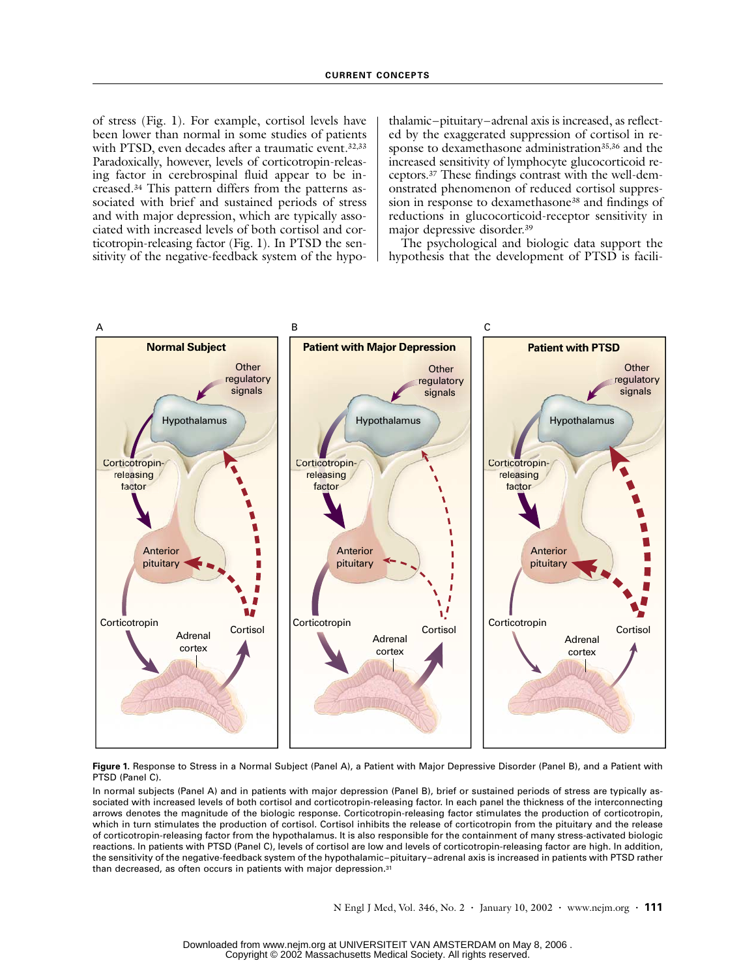of stress (Fig. 1). For example, cortisol levels have been lower than normal in some studies of patients with PTSD, even decades after a traumatic event.<sup>32,33</sup> Paradoxically, however, levels of corticotropin-releasing factor in cerebrospinal fluid appear to be increased.34 This pattern differs from the patterns associated with brief and sustained periods of stress and with major depression, which are typically associated with increased levels of both cortisol and corticotropin-releasing factor (Fig. 1). In PTSD the sensitivity of the negative-feedback system of the hypothalamic–pituitary–adrenal axis is increased, as reflected by the exaggerated suppression of cortisol in response to dexamethasone administration<sup>35,36</sup> and the increased sensitivity of lymphocyte glucocorticoid receptors.37 These findings contrast with the well-demonstrated phenomenon of reduced cortisol suppression in response to dexamethasone<sup>38</sup> and findings of reductions in glucocorticoid-receptor sensitivity in major depressive disorder.39

The psychological and biologic data support the hypothesis that the development of PTSD is facili-



**Figure 1.** Response to Stress in a Normal Subject (Panel A), a Patient with Major Depressive Disorder (Panel B), and a Patient with PTSD (Panel C).

In normal subjects (Panel A) and in patients with major depression (Panel B), brief or sustained periods of stress are typically associated with increased levels of both cortisol and corticotropin-releasing factor. In each panel the thickness of the interconnecting arrows denotes the magnitude of the biologic response. Corticotropin-releasing factor stimulates the production of corticotropin, which in turn stimulates the production of cortisol. Cortisol inhibits the release of corticotropin from the pituitary and the release of corticotropin-releasing factor from the hypothalamus. It is also responsible for the containment of many stress-activated biologic reactions. In patients with PTSD (Panel C), levels of cortisol are low and levels of corticotropin-releasing factor are high. In addition, the sensitivity of the negative-feedback system of the hypothalamic–pituitary–adrenal axis is increased in patients with PTSD rather than decreased, as often occurs in patients with major depression.<sup>31</sup>

N Engl J Med, Vol. 346, No. 2 **·** January 10, 2002 **·** www.nejm.org **· 111**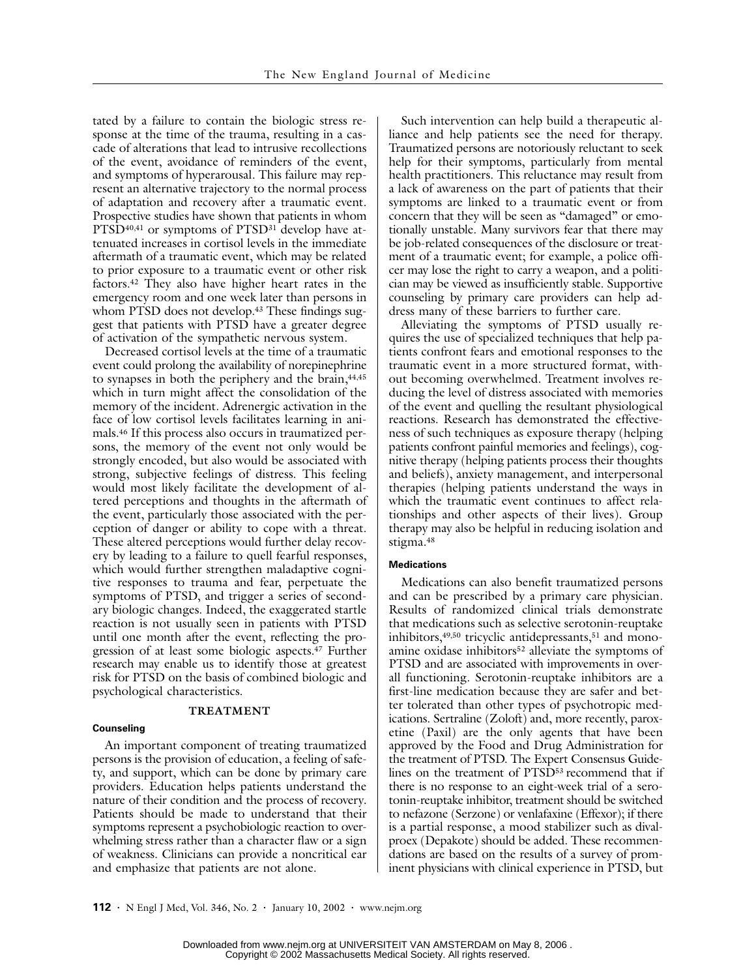tated by a failure to contain the biologic stress response at the time of the trauma, resulting in a cascade of alterations that lead to intrusive recollections of the event, avoidance of reminders of the event, and symptoms of hyperarousal. This failure may represent an alternative trajectory to the normal process of adaptation and recovery after a traumatic event. Prospective studies have shown that patients in whom  $PTSD<sup>40,41</sup>$  or symptoms of  $PTSD<sup>31</sup>$  develop have attenuated increases in cortisol levels in the immediate aftermath of a traumatic event, which may be related to prior exposure to a traumatic event or other risk factors.42 They also have higher heart rates in the emergency room and one week later than persons in whom PTSD does not develop.<sup>43</sup> These findings suggest that patients with PTSD have a greater degree of activation of the sympathetic nervous system.

Decreased cortisol levels at the time of a traumatic event could prolong the availability of norepinephrine to synapses in both the periphery and the brain, 44,45 which in turn might affect the consolidation of the memory of the incident. Adrenergic activation in the face of low cortisol levels facilitates learning in animals.46 If this process also occurs in traumatized persons, the memory of the event not only would be strongly encoded, but also would be associated with strong, subjective feelings of distress. This feeling would most likely facilitate the development of altered perceptions and thoughts in the aftermath of the event, particularly those associated with the perception of danger or ability to cope with a threat. These altered perceptions would further delay recovery by leading to a failure to quell fearful responses, which would further strengthen maladaptive cognitive responses to trauma and fear, perpetuate the symptoms of PTSD, and trigger a series of secondary biologic changes. Indeed, the exaggerated startle reaction is not usually seen in patients with PTSD until one month after the event, reflecting the progression of at least some biologic aspects.47 Further research may enable us to identify those at greatest risk for PTSD on the basis of combined biologic and psychological characteristics.

### **TREATMENT**

### **Counseling**

An important component of treating traumatized persons is the provision of education, a feeling of safety, and support, which can be done by primary care providers. Education helps patients understand the nature of their condition and the process of recovery. Patients should be made to understand that their symptoms represent a psychobiologic reaction to overwhelming stress rather than a character flaw or a sign of weakness. Clinicians can provide a noncritical ear and emphasize that patients are not alone.

Such intervention can help build a therapeutic alliance and help patients see the need for therapy. Traumatized persons are notoriously reluctant to seek help for their symptoms, particularly from mental health practitioners. This reluctance may result from a lack of awareness on the part of patients that their symptoms are linked to a traumatic event or from concern that they will be seen as "damaged" or emotionally unstable. Many survivors fear that there may be job-related consequences of the disclosure or treatment of a traumatic event; for example, a police officer may lose the right to carry a weapon, and a politician may be viewed as insufficiently stable. Supportive counseling by primary care providers can help address many of these barriers to further care.

Alleviating the symptoms of PTSD usually requires the use of specialized techniques that help patients confront fears and emotional responses to the traumatic event in a more structured format, without becoming overwhelmed. Treatment involves reducing the level of distress associated with memories of the event and quelling the resultant physiological reactions. Research has demonstrated the effectiveness of such techniques as exposure therapy (helping patients confront painful memories and feelings), cognitive therapy (helping patients process their thoughts and beliefs), anxiety management, and interpersonal therapies (helping patients understand the ways in which the traumatic event continues to affect relationships and other aspects of their lives). Group therapy may also be helpful in reducing isolation and stigma.48

# **Medications**

Medications can also benefit traumatized persons and can be prescribed by a primary care physician. Results of randomized clinical trials demonstrate that medications such as selective serotonin-reuptake inhibitors,<sup>49,50</sup> tricyclic antidepressants,<sup>51</sup> and monoamine oxidase inhibitors<sup>52</sup> alleviate the symptoms of PTSD and are associated with improvements in overall functioning. Serotonin-reuptake inhibitors are a first-line medication because they are safer and better tolerated than other types of psychotropic medications. Sertraline (Zoloft) and, more recently, paroxetine (Paxil) are the only agents that have been approved by the Food and Drug Administration for the treatment of PTSD. The Expert Consensus Guidelines on the treatment of PTSD<sup>53</sup> recommend that if there is no response to an eight-week trial of a serotonin-reuptake inhibitor, treatment should be switched to nefazone (Serzone) or venlafaxine (Effexor); if there is a partial response, a mood stabilizer such as divalproex (Depakote) should be added. These recommendations are based on the results of a survey of prominent physicians with clinical experience in PTSD, but

**<sup>112</sup> ·** N Engl J Med, Vol. 346, No. 2 **·** January 10, 2002 **·** www.nejm.org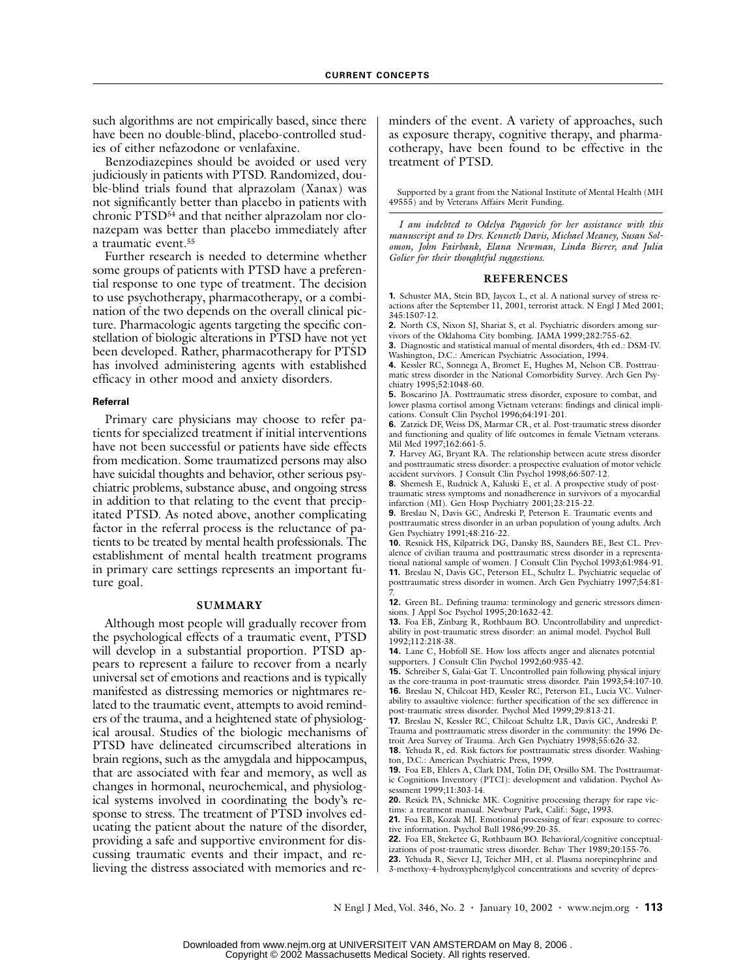such algorithms are not empirically based, since there have been no double-blind, placebo-controlled studies of either nefazodone or venlafaxine.

Benzodiazepines should be avoided or used very judiciously in patients with PTSD. Randomized, double-blind trials found that alprazolam (Xanax) was not significantly better than placebo in patients with chronic PTSD54 and that neither alprazolam nor clonazepam was better than placebo immediately after a traumatic event.55

Further research is needed to determine whether some groups of patients with PTSD have a preferential response to one type of treatment. The decision to use psychotherapy, pharmacotherapy, or a combination of the two depends on the overall clinical picture. Pharmacologic agents targeting the specific constellation of biologic alterations in PTSD have not yet been developed. Rather, pharmacotherapy for PTSD has involved administering agents with established efficacy in other mood and anxiety disorders.

### **Referral**

Primary care physicians may choose to refer patients for specialized treatment if initial interventions have not been successful or patients have side effects from medication. Some traumatized persons may also have suicidal thoughts and behavior, other serious psychiatric problems, substance abuse, and ongoing stress in addition to that relating to the event that precipitated PTSD. As noted above, another complicating factor in the referral process is the reluctance of patients to be treated by mental health professionals. The establishment of mental health treatment programs in primary care settings represents an important future goal.

#### **SUMMARY**

Although most people will gradually recover from the psychological effects of a traumatic event, PTSD will develop in a substantial proportion. PTSD appears to represent a failure to recover from a nearly universal set of emotions and reactions and is typically manifested as distressing memories or nightmares related to the traumatic event, attempts to avoid reminders of the trauma, and a heightened state of physiological arousal. Studies of the biologic mechanisms of PTSD have delineated circumscribed alterations in brain regions, such as the amygdala and hippocampus, that are associated with fear and memory, as well as changes in hormonal, neurochemical, and physiological systems involved in coordinating the body's response to stress. The treatment of PTSD involves educating the patient about the nature of the disorder, providing a safe and supportive environment for discussing traumatic events and their impact, and relieving the distress associated with memories and reminders of the event. A variety of approaches, such as exposure therapy, cognitive therapy, and pharmacotherapy, have been found to be effective in the treatment of PTSD.

Supported by a grant from the National Institute of Mental Health (MH 49555) and by Veterans Affairs Merit Funding.

*I am indebted to Odelya Pagovich for her assistance with this manuscript and to Drs. Kenneth Davis, Michael Meaney, Susan Solomon, John Fairbank, Elana Newman, Linda Bierer, and Julia Golier for their thoughtful suggestions.*

#### **REFERENCES**

**1.** Schuster MA, Stein BD, Jaycox L, et al. A national survey of stress reactions after the September 11, 2001, terrorist attack. N Engl J Med 2001; 345:1507-12.

**2.** North CS, Nixon SJ, Shariat S, et al. Psychiatric disorders among survivors of the Oklahoma City bombing. JAMA 1999;282:755-62.

**3.** Diagnostic and statistical manual of mental disorders, 4th ed.: DSM-IV. Washington, D.C.: American Psychiatric Association, 1994.

**4.** Kessler RC, Sonnega A, Bromet E, Hughes M, Nelson CB. Posttraumatic stress disorder in the National Comorbidity Survey. Arch Gen Psychiatry 1995;52:1048-60.

**5.** Boscarino JA. Posttraumatic stress disorder, exposure to combat, and lower plasma cortisol among Vietnam veterans: findings and clinical implications. Consult Clin Psychol 1996;64:191-201.

**6.** Zatzick DF, Weiss DS, Marmar CR, et al. Post-traumatic stress disorder and functioning and quality of life outcomes in female Vietnam veterans. Mil Med 1997;162:661-5.

**7.** Harvey AG, Bryant RA. The relationship between acute stress disorder and posttraumatic stress disorder: a prospective evaluation of motor vehicle accident survivors. J Consult Clin Psychol 1998;66:507-12.

**8.** Shemesh E, Rudnick A, Kaluski E, et al. A prospective study of posttraumatic stress symptoms and nonadherence in survivors of a myocardial infarction (MI). Gen Hosp Psychiatry 2001;23:215-22.

**9.** Breslau N, Davis GC, Andreski P, Peterson E. Traumatic events and posttraumatic stress disorder in an urban population of young adults. Arch Gen Psychiatry 1991;48:216-22.

**10.** Resnick HS, Kilpatrick DG, Dansky BS, Saunders BE, Best CL. Prevalence of civilian trauma and posttraumatic stress disorder in a representational national sample of women. J Consult Clin Psychol 1993;61:984-91. **11.** Breslau N, Davis GC, Peterson EL, Schultz L. Psychiatric sequelae of posttraumatic stress disorder in women. Arch Gen Psychiatry 1997;54:81- 7.

**12.** Green BL. Defining trauma: terminology and generic stressors dimensions. J Appl Soc Psychol 1995;20:1632-42.

**13.** Foa EB, Zinbarg R, Rothbaum BO. Uncontrollability and unpredictability in post-traumatic stress disorder: an animal model. Psychol Bull 1992;112:218-38.

**14.** Lane C, Hobfoll SE. How loss affects anger and alienates potential supporters. J Consult Clin Psychol 1992;60:935-42.

**15.** Schreiber S, Galai-Gat T. Uncontrolled pain following physical injury as the core-trauma in post-traumatic stress disorder. Pain 1993;54:107-10. **16.** Breslau N, Chilcoat HD, Kessler RC, Peterson EL, Lucia VC. Vulnerability to assaultive violence: further specification of the sex difference in post-traumatic stress disorder. Psychol Med 1999;29:813-21.

**17.** Breslau N, Kessler RC, Chilcoat Schultz LR, Davis GC, Andreski P. Trauma and posttraumatic stress disorder in the community: the 1996 Detroit Area Survey of Trauma. Arch Gen Psychiatry 1998;55:626-32.

**18.** Yehuda R, ed. Risk factors for posttraumatic stress disorder. Washington, D.C.: American Psychiatric Press, 1999.

**19.** Foa EB, Ehlers A, Clark DM, Tolin DF, Orsillo SM. The Posttraumatic Cognitions Inventory (PTCI): development and validation. Psychol Assessment 1999;11:303-14

**20.** Resick PA, Schnicke MK. Cognitive processing therapy for rape vic-tims: a treatment manual. Newbury Park, Calif.: Sage, 1993.

**21.** Foa EB, Kozak MJ. Emotional processing of fear: exposure to corrective information. Psychol Bull 1986;99:20-35.

**22.** Foa EB, Steketee G, Rothbaum BO. Behavioral/cognitive conceptualizations of post-traumatic stress disorder. Behav Ther 1989;20:155-76.

**23.** Yehuda R, Siever LJ, Teicher MH, et al. Plasma norepinephrine and 3-methoxy-4-hydroxyphenylglycol concentrations and severity of depres-

N Engl J Med, Vol. 346, No. 2 **·** January 10, 2002 **·** www.nejm.org **· 113**